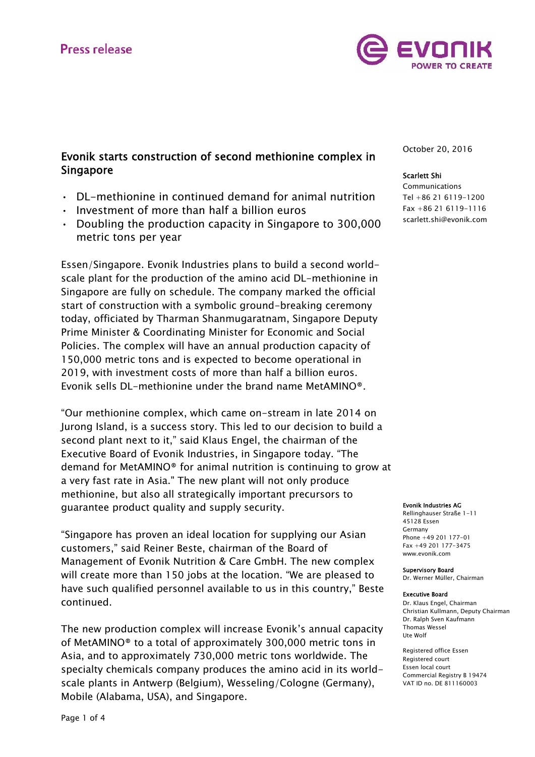

# Evonik starts construction of second methionine complex in Singapore

- DL-methionine in continued demand for animal nutrition
- Investment of more than half a billion euros
- Doubling the production capacity in Singapore to 300,000 metric tons per year

Essen/Singapore. Evonik Industries plans to build a second worldscale plant for the production of the amino acid DL-methionine in Singapore are fully on schedule. The company marked the official start of construction with a symbolic ground-breaking ceremony today, officiated by Tharman Shanmugaratnam, Singapore Deputy Prime Minister & Coordinating Minister for Economic and Social Policies. The complex will have an annual production capacity of 150,000 metric tons and is expected to become operational in 2019, with investment costs of more than half a billion euros. Evonik sells DL-methionine under the brand name MetAMINO®.

"Our methionine complex, which came on-stream in late 2014 on Jurong Island, is a success story. This led to our decision to build a second plant next to it," said Klaus Engel, the chairman of the Executive Board of Evonik Industries, in Singapore today. "The demand for MetAMINO® for animal nutrition is continuing to grow at a very fast rate in Asia." The new plant will not only produce methionine, but also all strategically important precursors to guarantee product quality and supply security.

"Singapore has proven an ideal location for supplying our Asian customers," said Reiner Beste, chairman of the Board of Management of Evonik Nutrition & Care GmbH. The new complex will create more than 150 jobs at the location. "We are pleased to have such qualified personnel available to us in this country," Beste continued.

The new production complex will increase Evonik's annual capacity of MetAMINO® to a total of approximately 300,000 metric tons in Asia, and to approximately 730,000 metric tons worldwide. The specialty chemicals company produces the amino acid in its worldscale plants in Antwerp (Belgium), Wesseling/Cologne (Germany), Mobile (Alabama, USA), and Singapore.

October 20, 2016

### Scarlett Shi

Communications Tel +86 21 6119-1200 Fax +86 21 6119-1116 scarlett.shi@evonik.com

#### Evonik Industries AG

Rellinghauser Straße 1-11 45128 Essen Germany Phone +49 201 177-01 Fax +49 201 177-3475 www.evonik.com

Supervisory Board Dr. Werner Müller, Chairman

#### Executive Board

Dr. Klaus Engel, Chairman Christian Kullmann, Deputy Chairman Dr. Ralph Sven Kaufmann Thomas Wessel Ute Wolf

Registered office Essen Registered court Essen local court Commercial Registry B 19474 VAT ID no. DE 811160003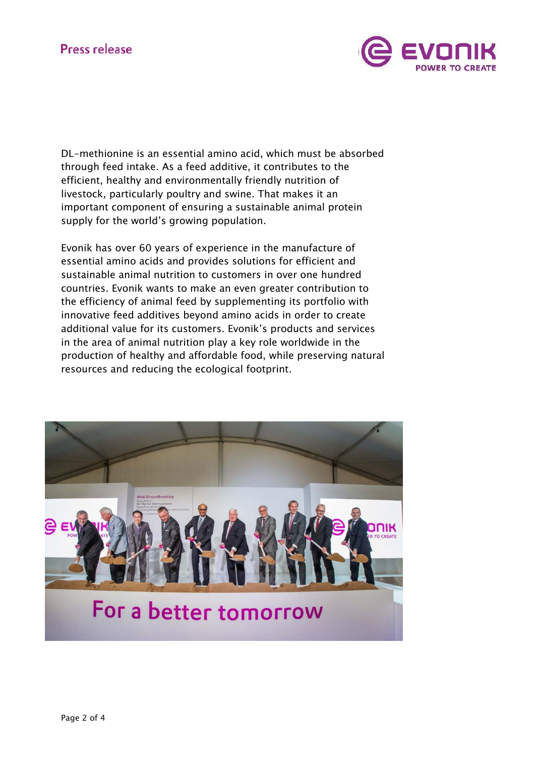

DL-methionine is an essential amino acid, which must be absorbed through feed intake. As a feed additive, it contributes to the efficient, healthy and environmentally friendly nutrition of livestock, particularly poultry and swine. That makes it an important component of ensuring a sustainable animal protein supply for the world's growing population.

Evonik has over 60 years of experience in the manufacture of essential amino acids and provides solutions for efficient and sustainable animal nutrition to customers in over one hundred countries. Evonik wants to make an even greater contribution to the efficiency of animal feed by supplementing its portfolio with innovative feed additives beyond amino acids in order to create additional value for its customers. Evonik's products and services in the area of animal nutrition play a key role worldwide in the production of healthy and affordable food, while preserving natural resources and reducing the ecological footprint.

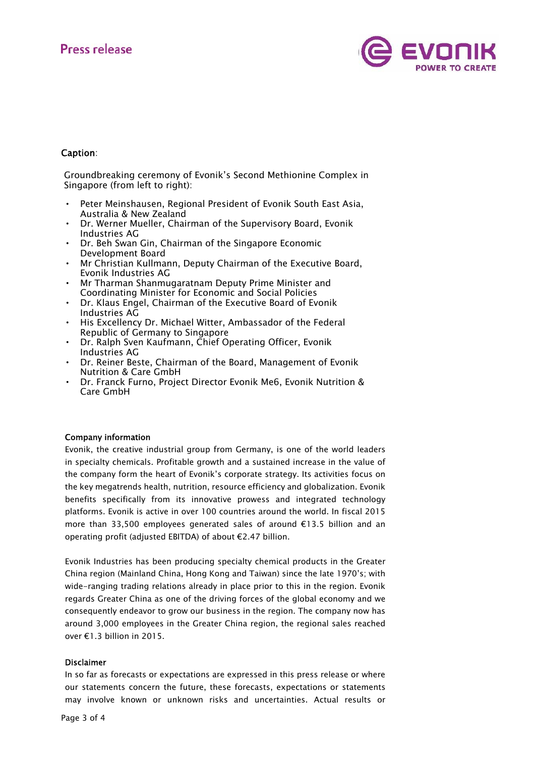

## Caption:

Groundbreaking ceremony of Evonik's Second Methionine Complex in Singapore (from left to right):

- Peter Meinshausen, Regional President of Evonik South East Asia, Australia & New Zealand
- Dr. Werner Mueller, Chairman of the Supervisory Board, Evonik Industries AG
- Dr. Beh Swan Gin, Chairman of the Singapore Economic Development Board
- Mr Christian Kullmann, Deputy Chairman of the Executive Board, Evonik Industries AG
- Mr Tharman Shanmugaratnam Deputy Prime Minister and Coordinating Minister for Economic and Social Policies
- Dr. Klaus Engel, Chairman of the Executive Board of Evonik Industries AG
- His Excellency Dr. Michael Witter, Ambassador of the Federal Republic of Germany to Singapore
- Dr. Ralph Sven Kaufmann, Chief Operating Officer, Evonik Industries AG
- Dr. Reiner Beste, Chairman of the Board, Management of Evonik Nutrition & Care GmbH
- Dr. Franck Furno, Project Director Evonik Me6, Evonik Nutrition & Care GmbH

## Company information

Evonik, the creative industrial group from Germany, is one of the world leaders in specialty chemicals. Profitable growth and a sustained increase in the value of the company form the heart of Evonik's corporate strategy. Its activities focus on the key megatrends health, nutrition, resource efficiency and globalization. Evonik benefits specifically from its innovative prowess and integrated technology platforms. Evonik is active in over 100 countries around the world. In fiscal 2015 more than 33,500 employees generated sales of around €13.5 billion and an operating profit (adjusted EBITDA) of about €2.47 billion.

Evonik Industries has been producing specialty chemical products in the Greater China region (Mainland China, Hong Kong and Taiwan) since the late 1970's; with wide-ranging trading relations already in place prior to this in the region. Evonik regards Greater China as one of the driving forces of the global economy and we consequently endeavor to grow our business in the region. The company now has around 3,000 employees in the Greater China region, the regional sales reached over €1.3 billion in 2015.

### Disclaimer

In so far as forecasts or expectations are expressed in this press release or where our statements concern the future, these forecasts, expectations or statements may involve known or unknown risks and uncertainties. Actual results or